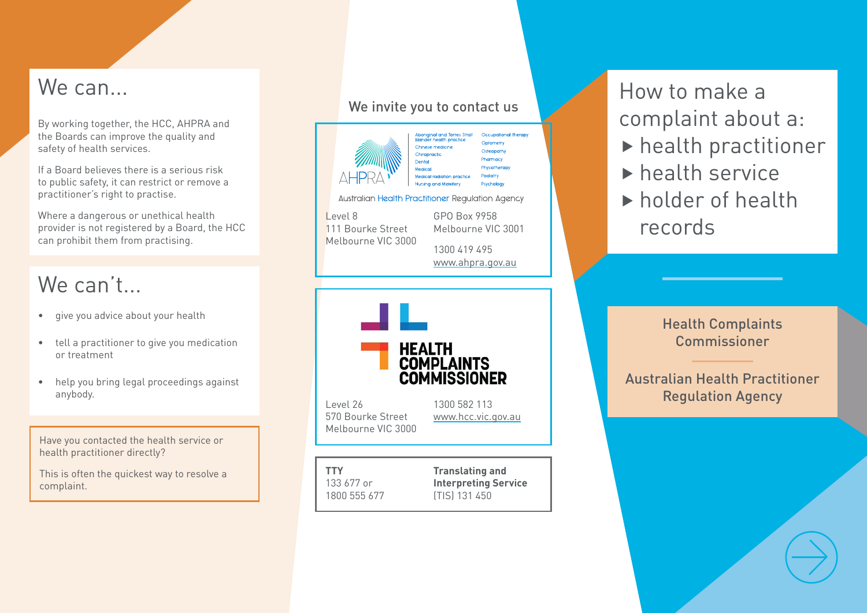# We can...

By working together, the HCC, AHPRA and the Boards can improve the quality and safety of health services.

If a Board believes there is a serious risk to public safety, it can restrict or remove a practitioner's right to practise.

Where a dangerous or unethical health provider is not registered by a Board, the HCC can prohibit them from practising.

# We can't...

- give you advice about your health
- tell a practitioner to give you medication or treatment
- help you bring legal proceedings against anybody.

Have you contacted the health service or health practitioner directly?

This is often the quickest way to resolve a complaint.

### We invite you to contact us



**TTY**  133 677 or 1800 555 677 **Translating and Interpreting Service**  (TIS) 131 450

How to make a complaint about a:

- $\blacktriangleright$  health practitioner
- $\blacktriangleright$  health service
- $\blacktriangleright$  holder of health records

Health Complaints Commissioner

Australian Health Practitioner Regulation Agency